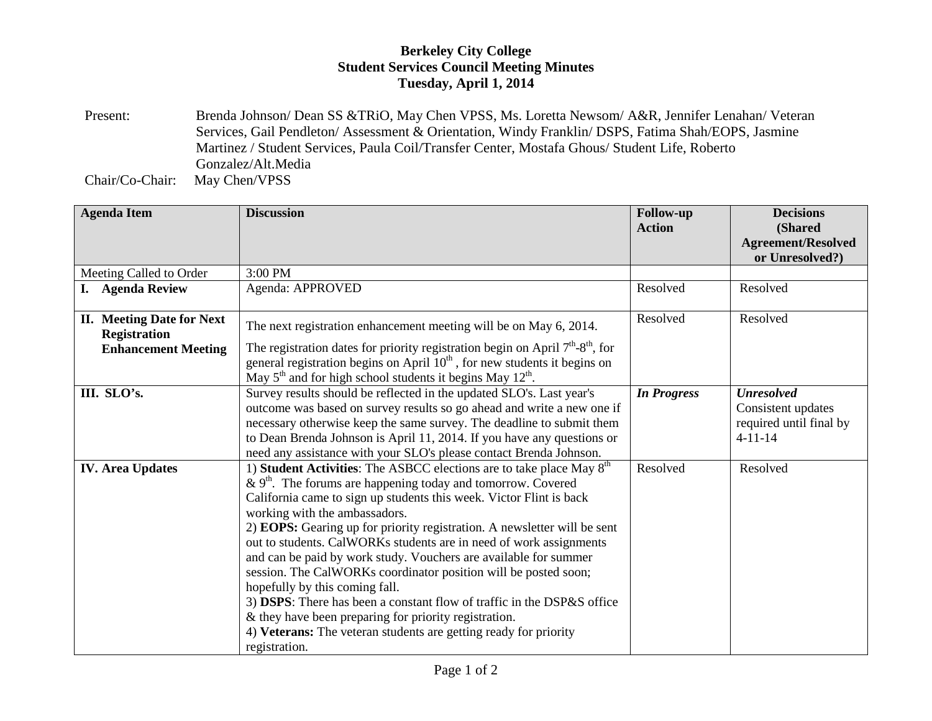## **Berkeley City College Student Services Council Meeting Minutes Tuesday, April 1, 2014**

Present: Brenda Johnson/ Dean SS &TRiO, May Chen VPSS, Ms. Loretta Newsom/ A&R, Jennifer Lenahan/ Veteran Services, Gail Pendleton/ Assessment & Orientation, Windy Franklin/ DSPS, Fatima Shah/EOPS, Jasmine Martinez / Student Services, Paula Coil/Transfer Center, Mostafa Ghous/ Student Life, Roberto Gonzalez/Alt.Media

Chair/Co-Chair: May Chen/VPSS

| <b>Agenda Item</b>                                      | <b>Discussion</b>                                                                                                                                  | <b>Follow-up</b><br><b>Action</b> | <b>Decisions</b><br>(Shared |
|---------------------------------------------------------|----------------------------------------------------------------------------------------------------------------------------------------------------|-----------------------------------|-----------------------------|
|                                                         |                                                                                                                                                    |                                   | <b>Agreement/Resolved</b>   |
|                                                         |                                                                                                                                                    |                                   | or Unresolved?)             |
| Meeting Called to Order                                 | 3:00 PM                                                                                                                                            |                                   |                             |
| I.<br><b>Agenda Review</b>                              | Agenda: APPROVED                                                                                                                                   | Resolved                          | Resolved                    |
|                                                         |                                                                                                                                                    | Resolved                          | Resolved                    |
| <b>II.</b> Meeting Date for Next<br><b>Registration</b> | The next registration enhancement meeting will be on May 6, 2014.                                                                                  |                                   |                             |
| <b>Enhancement Meeting</b>                              | The registration dates for priority registration begin on April $7th$ -8 <sup>th</sup> , for                                                       |                                   |                             |
|                                                         | general registration begins on April $10th$ , for new students it begins on                                                                        |                                   |                             |
|                                                         | May $5th$ and for high school students it begins May $12th$ .                                                                                      |                                   |                             |
| III. SLO's.                                             | Survey results should be reflected in the updated SLO's. Last year's                                                                               | <b>In Progress</b>                | <b>Unresolved</b>           |
|                                                         | outcome was based on survey results so go ahead and write a new one if                                                                             |                                   | Consistent updates          |
|                                                         | necessary otherwise keep the same survey. The deadline to submit them                                                                              |                                   | required until final by     |
|                                                         | to Dean Brenda Johnson is April 11, 2014. If you have any questions or                                                                             |                                   | $4 - 11 - 14$               |
|                                                         | need any assistance with your SLO's please contact Brenda Johnson.                                                                                 | Resolved                          | Resolved                    |
| <b>IV.</b> Area Updates                                 | 1) Student Activities: The ASBCC elections are to take place May 8 <sup>th</sup><br>& $9th$ . The forums are happening today and tomorrow. Covered |                                   |                             |
|                                                         | California came to sign up students this week. Victor Flint is back                                                                                |                                   |                             |
|                                                         | working with the ambassadors.                                                                                                                      |                                   |                             |
|                                                         | 2) EOPS: Gearing up for priority registration. A newsletter will be sent                                                                           |                                   |                             |
|                                                         | out to students. CalWORKs students are in need of work assignments                                                                                 |                                   |                             |
|                                                         | and can be paid by work study. Vouchers are available for summer                                                                                   |                                   |                             |
|                                                         | session. The CalWORKs coordinator position will be posted soon;                                                                                    |                                   |                             |
|                                                         | hopefully by this coming fall.                                                                                                                     |                                   |                             |
|                                                         | 3) DSPS: There has been a constant flow of traffic in the DSP&S office                                                                             |                                   |                             |
|                                                         | & they have been preparing for priority registration.                                                                                              |                                   |                             |
|                                                         | 4) Veterans: The veteran students are getting ready for priority                                                                                   |                                   |                             |
|                                                         | registration.                                                                                                                                      |                                   |                             |